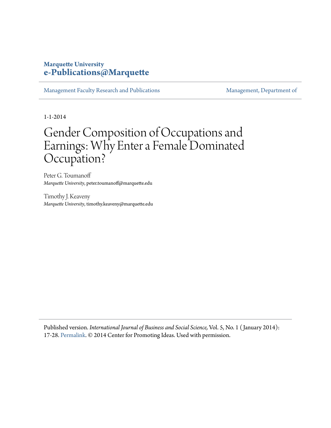# **Marquette University [e-Publications@Marquette](https://epublications.marquette.edu)**

[Management Faculty Research and Publications](https://epublications.marquette.edu/mgmt_fac) [Management, Department of](https://epublications.marquette.edu/mgmt)

1-1-2014

# Gender Composition of Occupations and Earnings: Why Enter a Female Dominated Occupation?

Peter G. Toumanoff *Marquette University*, peter.toumanoff@marquette.edu

Timothy J. Keaveny *Marquette University*, timothy.keaveny@marquette.edu

Published version. *International Journal of Business and Social Science,* Vol. 5, No. 1 ( January 2014): 17-28. [Permalink.](http://ijbssnet.com/journal/index/2319) © 2014 Center for Promoting Ideas. Used with permission.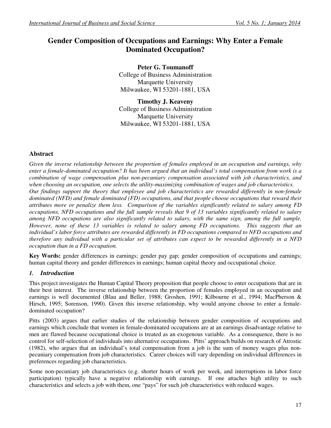# **Gender Composition of Occupations and Earnings: Why Enter a Female Dominated Occupation?**

**Peter G. Toumanoff**  College of Business Administration Marquette University Milwaukee, WI 53201-1881, USA

**Timothy J. Keaveny**  College of Business Administration Marquette University Milwaukee, WI 53201-1881, USA

# **Abstract**

*Given the inverse relationship between the proportion of females employed in an occupation and earnings, why enter a female-dominated occupation? It has been argued that an individual's total compensation from work is a combination of wage compensation plus non-pecuniary compensation associated with job characteristics, and when choosing an occupation, one selects the utility-maximizing combination of wages and job characteristics. Our findings support the theory that employee and job characteristics are rewarded differently in non-female dominated (NFD) and female dominated (FD) occupations, and that people choose occupations that reward their attributes more or penalize them less. Comparison of the variables significantly related to salary among FD occupations, NFD occupations and the full sample reveals that 9 of 13 variables significantly related to salary among NFD occupations are also significantly related to salary, with the same sign, among the full sample. However, none of these 13 variables is related to salary among FD occupations. This suggests that an individual's labor force attributes are rewarded differently in FD occupations compared to NFD occupations and therefore any individual with a particular set of attributes can expect to be rewarded differently in a NFD occupation than in a FD occupation.* 

Key Words: gender differences in earnings; gender pay gap; gender composition of occupations and earnings; human capital theory and gender differences in earnings; human capital theory and occupational choice.

# *1. Introduction*

This project investigates the Human Capital Theory proposition that people choose to enter occupations that are in their best interest. The inverse relationship between the proportion of females employed in an occupation and earnings is well documented (Blau and Beller, 1988; Groshen, 1991; Kilbourne et al., 1994; MacPherson & Hirsch, 1995; Sorenson, 1990). Given this inverse relationship, why would anyone choose to enter a femaledominated occupation?

Pitts (2003) argues that earlier studies of the relationship between gender composition of occupations and earnings which conclude that women in female-dominated occupations are at an earnings disadvantage relative to men are flawed because occupational choice is treated as an exogenous variable. As a consequence, there is no control for self-selection of individuals into alternative occupations. Pitts' approach builds on research of Atrostic (1982), who argues that an individual's total compensation from a job is the sum of money wages plus nonpecuniary compensation from job characteristics. Career choices will vary depending on individual differences in preferences regarding job characteristics.

Some non-pecuniary job characteristics (e.g. shorter hours of work per week, and interruptions in labor force participation) typically have a negative relationship with earnings. If one attaches high utility to such characteristics and selects a job with them, one "pays" for such job characteristics with reduced wages.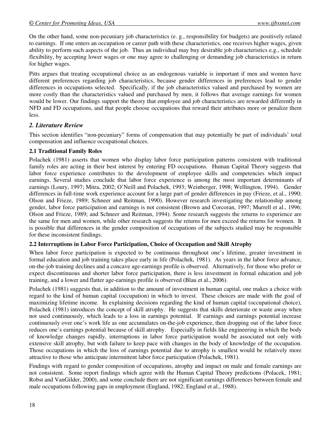On the other hand, some non-pecuniary job characteristics (e. g., responsibility for budgets) are positively related to earnings. If one enters an occupation or career path with these characteristics, one receives higher wages, given ability to perform such aspects of the job. Thus an individual may buy desirable job characteristics e.g., schedule flexibility, by accepting lower wages or one may agree to challenging or demanding job characteristics in return for higher wages.

Pitts argues that treating occupational choice as an endogenous variable is important if men and women have different preferences regarding job characteristics, because gender differences in preferences lead to gender differences in occupations selected. Specifically, if the job characteristics valued and purchased by women are more costly than the characteristics valued and purchased by men, it follows that average earnings for women would be lower. Our findings support the theory that employee and job characteristics are rewarded differently in NFD and FD occupations, and that people choose occupations that reward their attributes more or penalize them less.

# *2. Literature Review*

This section identifies "non-pecuniary" forms of compensation that may potentially be part of individuals' total compensation and influence occupational choices.

# **2.1 Traditional Family Roles**

Polachek (1981) asserts that women who display labor force participation patterns consistent with traditional family roles are acting in their best interest by entering FD occupations. Human Capital Theory suggests that labor force experience contributes to the development of employee skills and competencies which impact earnings. Several studies conclude that labor force experience is among the most important determinants of earnings (Loury, 1997; Mitra, 2002; O'Neill and Polachek, 1993; Weinberger, 1998; Wellington, 1994). Gender differences in full-time work experience account for a large part of gender differences in pay (Frieze, et al., 1990; Olson and Frieze, 1989; Schneer and Reitman, 1990). However research investigating the relationship among gender, labor force participation and earnings is not consistent (Brown and Corcoran, 1997; Murrell et al., 1996; Olson and Frieze, 1989; and Schneer and Reitman, 1994). Some research suggests the returns to experience are the same for men and women, while other research suggests the returns for men exceed the returns for women. It is possible that differences in the gender composition of occupations of the subjects studied may be responsible for these inconsistent findings.

# **2.2 Interruptions in Labor Force Participation, Choice of Occupation and Skill Atrophy**

When labor force participation is expected to be continuous throughout one's lifetime, greater investment in formal education and job training takes place early in life (Polachek, 1981). As years in the labor force advance, on-the-job training declines and a concave age-earnings profile is observed. Alternatively, for those who prefer or expect discontinuous and shorter labor force participation, there is less investment in formal education and job training, and a lower and flatter age-earnings profile is observed (Blau et al., 2006).

Polachek (1981) suggests that, in addition to the amount of investment in human capital, one makes a choice with regard to the kind of human capital (occupation) in which to invest. These choices are made with the goal of maximizing lifetime income. In explaining decisions regarding the kind of human capital (occupational choice), Polachek (1981) introduces the concept of skill atrophy. He suggests that skills deteriorate or waste away when not used continuously, which leads to a loss in earnings potential. If earnings and earnings potential increase continuously over one's work life as one accumulates on-the-job experience, then dropping out of the labor force reduces one's earnings potential because of skill atrophy. Especially in fields like engineering in which the body of knowledge changes rapidly, interruptions in labor force participation would be associated not only with extensive skill atrophy, but with failure to keep pace with changes in the body of knowledge of the occupation. Those occupations in which the loss of earnings potential due to atrophy is smallest would be relatively more attractive to those who anticipate intermittent labor force participation (Polachek, 1981).

Findings with regard to gender composition of occupations, atrophy and impact on male and female earnings are not consistent. Some report findings which agree with the Human Capital Theory predictions (Polacek, 1981; Robst and VanGilder, 2000), and some conclude there are not significant earnings differences between female and male occupations following gaps in employment (England, 1982; England et al., 1988).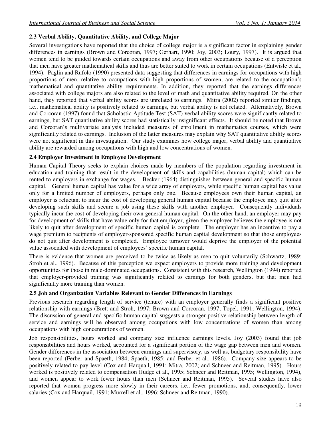# **2.3 Verbal Ability, Quantitative Ability, and College Major**

Several investigations have reported that the choice of college major is a significant factor in explaining gender differences in earnings (Brown and Corcoran, 1997; Gerhart, 1990; Joy, 2003; Loury, 1997). It is argued that women tend to be guided towards certain occupations and away from other occupations because of a perception that men have greater mathematical skills and thus are better suited to work in certain occupations (Entwisle et al., 1994).Paglin and Rufolo (1990) presented data suggesting that differences in earnings for occupations with high proportions of men, relative to occupations with high proportions of women, are related to the occupation's mathematical and quantitative ability requirements. In addition, they reported that the earnings differences associated with college majors are also related to the level of math and quantitative ability required. On the other hand, they reported that verbal ability scores are unrelated to earnings. Mitra (2002) reported similar findings, i.e., mathematical ability is positively related to earnings, but verbal ability is not related. Alternatively, Brown and Corcoran (1997) found that Scholastic Aptitude Test (SAT) verbal ability scores were significantly related to earnings, but SAT quantitative ability scores had statistically insignificant effects. It should be noted that Brown and Corcoran's multivariate analysis included measures of enrollment in mathematics courses, which were significantly related to earnings. Inclusion of the latter measures may explain why SAT quantitative ability scores were not significant in this investigation. Our study examines how college major, verbal ability and quantitative ability are rewarded among occupations with high and low concentrations of women.

#### **2.4 Employer Investment in Employee Development**

Human Capital Theory seeks to explain choices made by members of the population regarding investment in education and training that result in the development of skills and capabilities (human capital) which can be rented to employers in exchange for wages. Becker (1964) distinguishes between general and specific human capital. General human capital has value for a wide array of employers, while specific human capital has value only for a limited number of employers, perhaps only one. Because employees own their human capital, an employer is reluctant to incur the cost of developing general human capital because the employee may quit after developing such skills and secure a job using these skills with another employer. Consequently individuals typically incur the cost of developing their own general human capital. On the other hand, an employer may pay for development of skills that have value only for that employer, given the employer believes the employee is not likely to quit after development of specific human capital is complete. The employer has an incentive to pay a wage premium to recipients of employer-sponsored specific human capital development so that those employees do not quit after development is completed. Employee turnover would deprive the employer of the potential value associated with development of employees' specific human capital.

There is evidence that women are perceived to be twice as likely as men to quit voluntarily (Schwartz, 1989; Stroh et al., 1996). Because of this perception we expect employers to provide more training and development opportunities for those in male-dominated occupations. Consistent with this research, Wellington (1994) reported that employer-provided training was significantly related to earnings for both genders, but that men had significantly more training than women.

# **2.5 Job and Organization Variables Relevant to Gender Differences in Earnings**

Previous research regarding length of service (tenure) with an employer generally finds a significant positive relationship with earnings (Brett and Stroh, 1997; Brown and Corcoran, 1997; Topel, 1991; Wellington, 1994). The discussion of general and specific human capital suggests a stronger positive relationship between length of service and earnings will be observed among occupations with low concentrations of women than among occupations with high concentrations of women.

Job responsibilities, hours worked and company size influence earnings levels. Joy (2003) found that job responsibilities and hours worked, accounted for a significant portion of the wage gap between men and women. Gender differences in the association between earnings and supervisory, as well as, budgetary responsibility have been reported (Ferber and Spaeth, 1984; Spaeth, 1985; and Ferber et al., 1986). Company size appears to be positively related to pay level (Cox and Harquail, 1991; Mitra, 2002; and Schneer and Reitman, 1995). Hours worked is positively related to compensation (Judge et al., 1995; Schneer and Reitman, 1995; Wellington, 1994), and women appear to work fewer hours than men (Schneer and Reitman, 1995). Several studies have also reported that women progress more slowly in their careers, i.e., fewer promotions, and, consequently, lower salaries (Cox and Harquail, 1991; Murrell et al., 1996; Schneer and Reitman, 1990).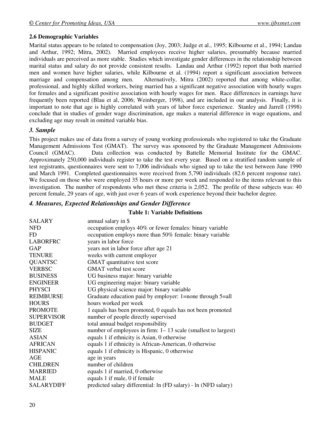# **2.6 Demographic Variables**

Marital status appears to be related to compensation (Joy, 2003; Judge et al., 1995; Kilbourne et al., 1994; Landau and Arthur, 1992; Mitra, 2002). Married employees receive higher salaries, presumably because married individuals are perceived as more stable. Studies which investigate gender differences in the relationship between marital status and salary do not provide consistent results. Landau and Arthur (1992) report that both married men and women have higher salaries, while Kilbourne et al. (1994) report a significant association between marriage and compensation among men. Alternatively, Mitra (2002) reported that among white-collar, professional, and highly skilled workers, being married has a significant negative association with hourly wages for females and a significant positive association with hourly wages for men. Race differences in earnings have frequently been reported (Blau et al, 2006; Weinberger, 1998), and are included in our analysis. Finally, it is important to note that age is highly correlated with years of labor force experience. Stanley and Jarrell (1998) conclude that in studies of gender wage discrimination, age makes a material difference in wage equations, and excluding age may result in omitted variable bias.

# *3. Sample*

This project makes use of data from a survey of young working professionals who registered to take the Graduate Management Admissions Test (GMAT). The survey was sponsored by the Graduate Management Admissions Council (GMAC). Data collection was conducted by Battelle Memorial Institute for the GMAC. Approximately 250,000 individuals register to take the test every year. Based on a stratified random sample of test registrants, questionnaires were sent to 7,006 individuals who signed up to take the test between June 1990 and March 1991. Completed questionnaires were received from 5,790 individuals (82.6 percent response rate). We focused on those who were employed 35 hours or more per week and responded to the items relevant to this investigation. The number of respondents who met these criteria is 2,052. The profile of these subjects was: 40 percent female, 29 years of age, with just over 6 years of work experience beyond their bachelor degree.

# *4. Measures, Expected Relationships and Gender Difference*

#### **Table 1: Variable Definitions**

| <b>SALARY</b>     | annual salary in \$                                               |
|-------------------|-------------------------------------------------------------------|
| <b>NFD</b>        | occupation employs 40% or fewer females: binary variable          |
| FD                | occupation employs more than 50% female: binary variable          |
| <b>LABORFRC</b>   | years in labor force                                              |
| GAP               | years not in labor force after age 21                             |
| <b>TENURE</b>     | weeks with current employer                                       |
| <b>QUANTSC</b>    | GMAT quantitative test score                                      |
| <b>VERBSC</b>     | <b>GMAT</b> verbal test score                                     |
| <b>BUSINESS</b>   | UG business major: binary variable                                |
| <b>ENGINEER</b>   | UG engineering major: binary variable                             |
| <b>PHYSCI</b>     | UG physical science major: binary variable                        |
| REIMBURSE         | Graduate education paid by employer: 1=none through 5=all         |
| <b>HOURS</b>      | hours worked per week                                             |
| <b>PROMOTE</b>    | 1 equals has been promoted, 0 equals has not been promoted        |
| <b>SUPERVISOR</b> | number of people directly supervised                              |
| <b>BUDGET</b>     | total annual budget responsibility                                |
| <b>SIZE</b>       | number of employees in firm: $1 - 13$ scale (smallest to largest) |
| <b>ASIAN</b>      | equals 1 if ethnicity is Asian, 0 otherwise                       |
| <b>AFRICAN</b>    | equals 1 if ethnicity is African-American, 0 otherwise            |
| <b>HISPANIC</b>   | equals 1 if ethnicity is Hispanic, 0 otherwise                    |
| AGE               | age in years                                                      |
| <b>CHILDREN</b>   | number of children                                                |
| <b>MARRIED</b>    | equals 1 if married, 0 otherwise                                  |
| <b>MALE</b>       | equals 1 if male, 0 if female                                     |
| <b>SALARYDIFF</b> | predicted salary differential: ln (FD salary) - ln (NFD salary)   |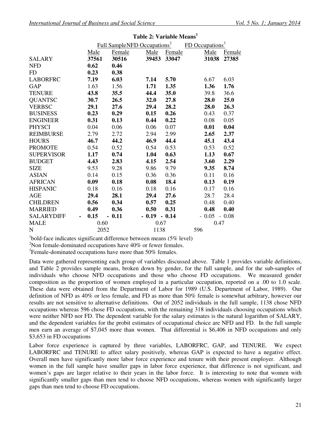|                        |       | Full SampleNFD Occupations <sup>2</sup> |                |        | FD Occupations <sup>3</sup> |         |
|------------------------|-------|-----------------------------------------|----------------|--------|-----------------------------|---------|
|                        | Male  | Female                                  | Male           | Female | Male                        | Female  |
| <b>SALARY</b>          | 37561 | 30516                                   | 39453          | 33047  | 31038                       | 27385   |
| <b>NFD</b>             | 0.62  | 0.46                                    |                |        |                             |         |
| <b>FD</b>              | 0.23  | 0.38                                    |                |        |                             |         |
| <b>LABORFRC</b>        | 7.19  | 6.03                                    | 7.14           | 5.70   | 6.67                        | 6.03    |
| GAP                    | 1.63  | 1.56                                    | 1.71           | 1.35   | 1.36                        | 1.76    |
| <b>TENURE</b>          | 43.8  | 35.5                                    | 44.4           | 35.0   | 39.8                        | 36.6    |
| <b>QUANTSC</b>         | 30.7  | 26.5                                    | 32.0           | 27.8   | 28.0                        | 25.0    |
| <b>VERBSC</b>          | 29.1  | 27.6                                    | 29.4           | 28.2   | 28.0                        | 26.3    |
| <b>BUSINESS</b>        | 0.23  | 0.29                                    | 0.15           | 0.26   | 0.43                        | 0.37    |
| <b>ENGINEER</b>        | 0.31  | 0.13                                    | 0.44           | 0.22   | 0.08                        | 0.05    |
| <b>PHYSCI</b>          | 0.04  | 0.06                                    | 0.06           | 0.07   | 0.01                        | 0.04    |
| <b>REIMBURSE</b>       | 2.79  | 2.72                                    | 2.94           | 2.99   | 2.65                        | 2.37    |
| <b>HOURS</b>           | 46.7  | 44.2                                    | 46.9           | 44.4   | 45.1                        | 43.4    |
| <b>PROMOTE</b>         | 0.54  | 0.52                                    | 0.54           | 0.53   | 0.53                        | 0.52    |
| <b>SUPERVISOR</b>      | 1.17  | 0.74                                    | 1.04           | 0.63   | 1.13                        | 0.67    |
| <b>BUDGET</b>          | 4.43  | 2.83                                    | 4.15           | 2.54   | 3.60                        | 2.29    |
| <b>SIZE</b>            | 9.53  | 9.28                                    | 9.86           | 9.79   | 9.35                        | 8.74    |
| <b>ASIAN</b>           | 0.14  | 0.15                                    | 0.36           | 0.36   | 0.11                        | 0.16    |
| <b>AFRICAN</b>         | 0.09  | 0.18                                    | 0.08           | 18.4   | 0.13                        | 0.19    |
| <b>HISPANIC</b>        | 0.18  | 0.16                                    | 0.18           | 0.16   | 0.17                        | 0.16    |
| AGE                    | 29.4  | 28.1                                    | 29.4           | 27.6   | 28.7                        | 28.4    |
| <b>CHILDREN</b>        | 0.56  | 0.34                                    | 0.57           | 0.25   | 0.48                        | 0.40    |
| <b>MARRIED</b>         | 0.49  | 0.36                                    | 0.50           | 0.31   | 0.48                        | 0.40    |
| <b>SALARYDIFF</b><br>٠ | 0.15  | $-0.11$                                 | $-0.19 - 0.14$ |        | $-0.05$                     | $-0.08$ |
| <b>MALE</b>            | 0.60  |                                         | 0.67           |        |                             | 0.47    |
| $\mathbf N$            | 2052  |                                         | 1138           |        | 596                         |         |

#### **Table 2: Variable Means<sup>1</sup>**

<sup>1</sup>bold-face indicates significant difference between means (5% level)

 $2$ Non female-dominated occupations have  $40\%$  or fewer females.

 $3$ Female-dominated occupations have more than 50% females.

Data were gathered representing each group of variables discussed above. Table 1 provides variable definitions, and Table 2 provides sample means, broken down by gender, for the full sample, and for the sub-samples of individuals who choose NFD occupations and those who choose FD occupations. We measured gender composition as the proportion of women employed in a particular occupation, reported on a .00 to 1.0 scale. These data were obtained from the Department of Labor for 1989 (U.S. Department of Labor, 1989). Our definition of NFD as 40% or less female, and FD as more than 50% female is somewhat arbitrary, however our results are not sensitive to alternative definitions. Out of 2052 individuals in the full sample, 1138 chose NFD occupations whereas 596 chose FD occupations, with the remaining 318 individuals choosing occupations which were neither NFD nor FD. The dependent variable for the salary estimates is the natural logarithm of SALARY, and the dependent variables for the probit estimates of occupational choice are NFD and FD. In the full sample men earn an average of \$7,045 more than women. That differential is \$6,406 in NFD occupations and only \$3,653 in FD occupations

Labor force experience is captured by three variables, LABORFRC, GAP, and TENURE. We expect LABORFRC and TENURE to affect salary positively, whereas GAP is expected to have a negative effect. Overall men have significantly more labor force experience and tenure with their present employer. Although women in the full sample have smaller gaps in labor force experience, that difference is not significant, and women's gaps are larger relative to their years in the labor force. It is interesting to note that women with significantly smaller gaps than men tend to choose NFD occupations, whereas women with significantly larger gaps than men tend to choose FD occupations.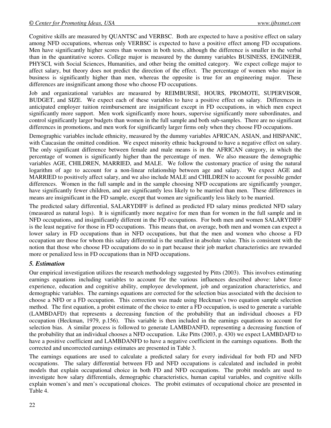Cognitive skills are measured by QUANTSC and VERBSC. Both are expected to have a positive effect on salary among NFD occupations, whereas only VERBSC is expected to have a positive effect among FD occupations. Men have significantly higher scores than women in both tests, although the difference is smaller in the verbal than in the quantitative scores. College major is measured by the dummy variables BUSINESS, ENGINEER, PHYSCI, with Social Sciences, Humanities, and other being the omitted category. We expect college major to affect salary, but theory does not predict the direction of the effect. The percentage of women who major in business is significantly higher than men, whereas the opposite is true for an engineering major. These differences are insignificant among those who choose FD occupations.

Job and organizational variables are measured by REIMBURSE, HOURS, PROMOTE, SUPERVISOR, BUDGET, and SIZE. We expect each of these variables to have a positive effect on salary. Differences in anticipated employer tuition reimbursement are insignificant except in FD occupations, in which men expect significantly more support. Men work significantly more hours, supervise significantly more subordinates, and control significantly larger budgets than women in the full sample and both sub-samples. There are no significant differences in promotions, and men work for significantly larger firms only when they choose FD occupations.

Demographic variables include ethnicity, measured by the dummy variables AFRICAN, ASIAN, and HISPANIC, with Caucasian the omitted condition. We expect minority ethnic background to have a negative effect on salary. The only significant difference between female and male means is in the AFRICAN category, in which the percentage of women is significantly higher than the percentage of men. We also measure the demographic variables AGE, CHILDREN, MARRIED, and MALE. We follow the customary practice of using the natural logarithm of age to account for a non-linear relationship between age and salary. We expect AGE and MARRIED to positively affect salary, and we also include MALE and CHILDREN to account for possible gender differences. Women in the full sample and in the sample choosing NFD occupations are significantly younger, have significantly fewer children, and are significantly less likely to be married than men. These differences in means are insignificant in the FD sample, except that women are significantly less likely to be married.

The predicted salary differential, SALARYDIFF is defined as predicted FD salary minus predicted NFD salary (measured as natural logs). It is significantly more negative for men than for women in the full sample and in NFD occupations, and insignificantly different in the FD occupations. For both men and women SALARYDIFF is the least negative for those in FD occupations. This means that, on average, both men and women can expect a lower salary in FD occupations than in NFD occupations, but that the men and women who choose a FD occupation are those for whom this salary differential is the smallest in absolute value. This is consistent with the notion that those who choose FD occupations do so in part because their job market characteristics are rewarded more or penalized less in FD occupations than in NFD occupations.

# *5. Estimation*

Our empirical investigation utilizes the research methodology suggested by Pitts (2003). This involves estimating earnings equations including variables to account for the various influences described above: labor force experience, education and cognitive ability, employee development, job and organization characteristics, and demographic variables. The earnings equations are corrected for the selection bias associated with the decision to choose a NFD or a FD occupation. This correction was made using Heckman's two equation sample selection method. The first equation, a probit estimate of the choice to enter a FD occupation, is used to generate a variable (LAMBDAFD) that represents a decreasing function of the probability that an individual chooses a FD occupation (Heckman, 1979, p.156). This variable is then included in the earnings equations to account for selection bias. A similar process is followed to generate LAMBDANFD, representing a decreasing function of the probability that an individual chooses a NFD occupation. Like Pitts (2003, p. 430) we expect LAMBDAFD to have a positive coefficient and LAMBDANFD to have a negative coefficient in the earnings equations. Both the corrected and uncorrected earnings estimates are presented in Table 3.

The earnings equations are used to calculate a predicted salary for every individual for both FD and NFD occupations. The salary differential between FD and NFD occupations is calculated and included in probit models that explain occupational choice in both FD and NFD occupations. The probit models are used to investigate how salary differentials, demographic characteristics, human capital variables, and cognitive skills explain women's and men's occupational choices. The probit estimates of occupational choice are presented in Table 4.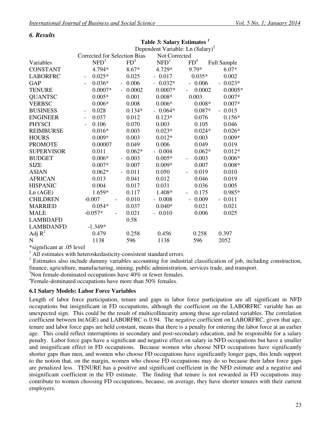# *6. Results*

| Not Corrected<br><b>Corrected for Selection Bias</b> |                   |                  |                                   |                                              |
|------------------------------------------------------|-------------------|------------------|-----------------------------------|----------------------------------------------|
| NFD <sup>3</sup>                                     |                   | NFD <sup>3</sup> | FD <sup>4</sup>                   | Full Sample                                  |
| 4.794*                                               | $8.67*$           | 4.729*           | 9.79*                             | $6.07*$                                      |
| $0.025*$                                             | 0.025             | 0.017            | $0.035*$                          | 0.002                                        |
| $0.036*$                                             | 0.006             | $0.032*$         | 0.006                             | $0.023*$<br>$\overline{\phantom{0}}$         |
| $0.0007*$                                            | 0.0002            | $0.0007*$        | 0.0002                            | $0.0005*$                                    |
| $0.005*$                                             | 0.001             | $0.008*$         | 0.003                             | $0.007*$                                     |
| $0.006*$                                             | 0.008             | $0.006*$         | $0.008*$                          | $0.007*$                                     |
| 0.028<br>$\overline{\phantom{a}}$                    | $0.134*$          | $0.064*$         | $0.087*$                          | 0.015<br>$\equiv$                            |
| 0.037                                                | 0.012             | $0.123*$         | 0.076                             | $0.156*$                                     |
| 0.106                                                | 0.070             | 0.003            | 0.105                             | 0.046                                        |
| $0.016*$                                             | 0.003             | $0.023*$         | $0.024*$                          | $0.026*$                                     |
| $0.009*$                                             | 0.003             | $0.012*$         | 0.003                             | $0.009*$                                     |
| 0.00007                                              | 0.049             | 0.006            | 0.049                             | 0.019                                        |
| 0.011                                                | $0.062*$          | 0.004            | $0.062*$                          | $0.012*$                                     |
| $0.006*$                                             | 0.003             | $0.005*$         | 0.003<br>$\overline{\phantom{a}}$ | $0.006*$                                     |
| $0.007*$                                             | 0.007             | $0.009*$         | 0.007                             | $0.008*$                                     |
| $0.062*$                                             | 0.011<br>$\equiv$ | 0.050            | 0.019                             | 0.010                                        |
| 0.013                                                | 0.041             | 0.012            | 0.046                             | 0.019                                        |
| 0.004                                                | 0.017             | 0.031            | 0.036                             | 0.005                                        |
| 1.659*                                               | 0.117             | 1.408*           | 0.175                             | 0.985*                                       |
| $-0.007$                                             | 0.010             | $-0.008$         | 0.009<br>$\blacksquare$           | $-0.011$                                     |
| $0.054*$                                             | 0.037             | $0.040*$         | 0.021                             | 0.021                                        |
| $-0.057*$                                            | 0.021             | $-0.010$         | 0.006                             | 0.025                                        |
|                                                      | 0.58              |                  |                                   |                                              |
| $-1.349*$                                            |                   |                  |                                   |                                              |
| 0.479                                                | 0.258             | 0.456            | 0.258                             | 0.397                                        |
| 1138                                                 | 596               | 1138             | 596                               | 2052                                         |
|                                                      |                   | FD <sup>4</sup>  |                                   | Dependent Variable: Ln (Salary) <sup>2</sup> |

\*significant at .05 level

<sup>1</sup> All estimates with heteroskedasticity-consistent standard errors.

 $2$  Estimates also include dummy variables accounting for industrial classification of job, including construction, finance, agriculture, manufacturing, mining, public administration, services trade, and transport.

**Table 3: Salary Estimates <sup>1</sup>**

 $3$ Non female-dominated occupations have  $40\%$  or fewer females.

<sup>4</sup> Female-dominated occupations have more than 50% females.

#### **6.1 Salary Models: Labor Force Variables**

Length of labor force participation, tenure and gaps in labor force participation are all significant in NFD occupations but insignificant in FD occupations, although the coefficient on the LABORFRC variable has an unexpected sign. This could be the result of multicollinearity among these age-related variables. The correlation coefficient between ln(AGE) and LABORFRC is 0.94. The negative coefficient on LABORFRC, given that age, tenure and labor force gaps are held constant, means that there is a penalty for entering the labor force at an earlier age. This could reflect interruptions in secondary and post-secondary education, and be responsible for a salary penalty. Labor force gaps have a significant and negative effect on salary in NFD occupations but have a smaller and insignificant effect in FD occupations. Because women who choose NFD occupations have significantly shorter gaps than men, and women who choose FD occupations have significantly longer gaps, this lends support to the notion that, on the margin, women who choose FD occupations may do so because their labor force gaps are penalized less. TENURE has a positive and significant coefficient in the NFD estimate and a negative and insignificant coefficient in the FD estimate. The finding that tenure is not rewarded in FD occupations may contribute to women choosing FD occupations, because, on average, they have shorter tenures with their current employers.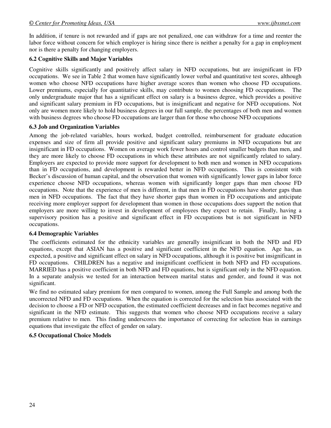In addition, if tenure is not rewarded and if gaps are not penalized, one can withdraw for a time and reenter the labor force without concern for which employer is hiring since there is neither a penalty for a gap in employment nor is there a penalty for changing employers.

# **6.2 Cognitive Skills and Major Variables**

Cognitive skills significantly and positively affect salary in NFD occupations, but are insignificant in FD occupations. We see in Table 2 that women have significantly lower verbal and quantitative test scores, although women who choose NFD occupations have higher average scores than women who choose FD occupations. Lower premiums, especially for quantitative skills, may contribute to women choosing FD occupations. The only undergraduate major that has a significant effect on salary is a business degree, which provides a positive and significant salary premium in FD occupations, but is insignificant and negative for NFD occupations. Not only are women more likely to hold business degrees in our full sample, the percentages of both men and women with business degrees who choose FD occupations are larger than for those who choose NFD occupations

#### **6.3 Job and Organization Variables**

Among the job-related variables, hours worked, budget controlled, reimbursement for graduate education expenses and size of firm all provide positive and significant salary premiums in NFD occupations but are insignificant in FD occupations. Women on average work fewer hours and control smaller budgets than men, and they are more likely to choose FD occupations in which these attributes are not significantly related to salary. Employers are expected to provide more support for development to both men and women in NFD occupations than in FD occupations, and development is rewarded better in NFD occupations. This is consistent with Becker's discussion of human capital, and the observation that women with significantly lower gaps in labor force experience choose NFD occupations, whereas women with significantly longer gaps than men choose FD occupations. Note that the experience of men is different, in that men in FD occupations have shorter gaps than men in NFD occupations. The fact that they have shorter gaps than women in FD occupations and anticipate receiving more employer support for development than women in those occupations does support the notion that employers are more willing to invest in development of employees they expect to retain.Finally, having a supervisory position has a positive and significant effect in FD occupations but is not significant in NFD occupations.

#### **6.4 Demographic Variables**

The coefficients estimated for the ethnicity variables are generally insignificant in both the NFD and FD equations, except that ASIAN has a positive and significant coefficient in the NFD equation. Age has, as expected, a positive and significant effect on salary in NFD occupations, although it is positive but insignificant in FD occupations. CHILDREN has a negative and insignificant coefficient in both NFD and FD occupations. MARRIED has a positive coefficient in both NFD and FD equations, but is significant only in the NFD equation. In a separate analysis we tested for an interaction between marital status and gender, and found it was not significant.

We find no estimated salary premium for men compared to women, among the Full Sample and among both the uncorrected NFD and FD occupations. When the equation is corrected for the selection bias associated with the decision to choose a FD or NFD occupation, the estimated coefficient decreases and in fact becomes negative and significant in the NFD estimate. This suggests that women who choose NFD occupations receive a salary premium relative to men. This finding underscores the importance of correcting for selection bias in earnings equations that investigate the effect of gender on salary.

#### **6.5 Occupational Choice Models**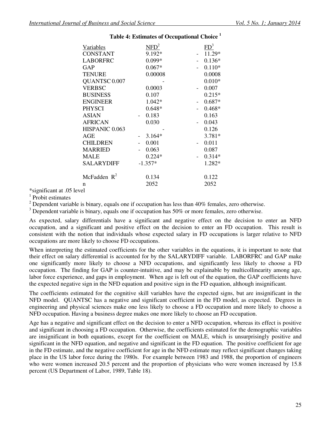| Variables                | NFD <sup>2</sup> | FD <sup>3</sup> |
|--------------------------|------------------|-----------------|
| <b>CONSTANT</b>          | 9.192*           | 11.29*          |
| <b>LABORFRC</b>          | $0.099*$         | $0.136*$        |
| GAP                      | $0.067*$         | $0.110*$        |
| <b>TENURE</b>            | 0.00008          | 0.0008          |
| QUANTSC <sub>0.007</sub> |                  | $0.010*$        |
| <b>VERBSC</b>            | 0.0003           | 0.007           |
| <b>BUSINESS</b>          | 0.107            | $0.215*$        |
| <b>ENGINEER</b>          | $1.042*$         | $0.687*$        |
| <b>PHYSCI</b>            | $0.648*$         | $0.468*$        |
| <b>ASIAN</b>             | 0.183            | 0.163           |
| <b>AFRICAN</b>           | 0.030            | 0.043           |
| HISPANIC 0.063           |                  | 0.126           |
| AGE                      | $3.164*$         | $3.781*$        |
| <b>CHILDREN</b>          | 0.001            | 0.011           |
| <b>MARRIED</b>           | 0.063            | 0.087           |
| <b>MALE</b>              | $0.224*$         | $0.314*$        |
| SALARYDIFF               | $-1.357*$        | 1.282*          |
| McFadden $R^2$           | 0.134            | 0.122           |
| n                        | 2052             | 2052            |
|                          |                  |                 |

# **Table 4: Estimates of Occupational Choice <sup>1</sup>**

\*significant at .05 level

<sup>1</sup> Probit estimates

 $2$  Dependent variable is binary, equals one if occupation has less than 40% females, zero otherwise.

 $3$  Dependent variable is binary, equals one if occupation has 50% or more females, zero otherwise.

As expected, salary differentials have a significant and negative effect on the decision to enter an NFD occupation, and a significant and positive effect on the decision to enter an FD occupation. This result is consistent with the notion that individuals whose expected salary in FD occupations is larger relative to NFD occupations are more likely to choose FD occupations.

When interpreting the estimated coefficients for the other variables in the equations, it is important to note that their effect on salary differential is accounted for by the SALARYDIFF variable. LABORFRC and GAP make one significantly more likely to choose a NFD occupations, and significantly less likely to choose a FD occupation. The finding for GAP is counter-intuitive, and may be explainable by multicollinearity among age, labor force experience, and gaps in employment. When age is left out of the equation, the GAP coefficients have the expected negative sign in the NFD equation and positive sign in the FD equation, although insignificant.

The coefficients estimated for the cognitive skill variables have the expected signs, but are insignificant in the NFD model. QUANTSC has a negative and significant coefficient in the FD model, as expected. Degrees in engineering and physical sciences make one less likely to choose a FD occupation and more likely to choose a NFD occupation. Having a business degree makes one more likely to choose an FD occupation.

Age has a negative and significant effect on the decision to enter a NFD occupation, whereas its effect is positive and significant in choosing a FD occupation. Otherwise, the coefficients estimated for the demographic variables are insignificant in both equations, except for the coefficient on MALE, which is unsurprisingly positive and significant in the NFD equation, and negative and significant in the FD equation. The positive coefficient for age in the FD estimate, and the negative coefficient for age in the NFD estimate may reflect significant changes taking place in the US labor force during the 1980s. For example between 1983 and 1988, the proportion of engineers who were women increased 20.5 percent and the proportion of physicians who were women increased by 15.8 percent (US Department of Labor, 1989, Table 18).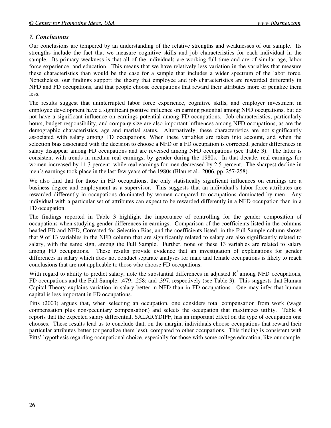# *7. Conclusions*

Our conclusions are tempered by an understanding of the relative strengths and weaknesses of our sample. Its strengths include the fact that we measure cognitive skills and job characteristics for each individual in the sample. Its primary weakness is that all of the individuals are working full-time and are of similar age, labor force experience, and education. This means that we have relatively less variation in the variables that measure these characteristics than would be the case for a sample that includes a wider spectrum of the labor force. Nonetheless, our findings support the theory that employee and job characteristics are rewarded differently in NFD and FD occupations, and that people choose occupations that reward their attributes more or penalize them less.

The results suggest that uninterrupted labor force experience, cognitive skills, and employer investment in employee development have a significant positive influence on earning potential among NFD occupations, but do not have a significant influence on earnings potential among FD occupations. Job characteristics, particularly hours, budget responsibility, and company size are also important influences among NFD occupations, as are the demographic characteristics, age and marital status. Alternatively, these characteristics are not significantly associated with salary among FD occupations. When these variables are taken into account, and when the selection bias associated with the decision to choose a NFD or a FD occupation is corrected, gender differences in salary disappear among FD occupations and are reversed among NFD occupations (see Table 3). The latter is consistent with trends in median real earnings, by gender during the 1980s. In that decade, real earnings for women increased by 11.3 percent, while real earnings for men decreased by 2.5 percent. The sharpest decline in men's earnings took place in the last few years of the 1980s (Blau et al., 2006, pp. 257-258).

We also find that for those in FD occupations, the only statistically significant influences on earnings are a business degree and employment as a supervisor. This suggests that an individual's labor force attributes are rewarded differently in occupations dominated by women compared to occupations dominated by men. Any individual with a particular set of attributes can expect to be rewarded differently in a NFD occupation than in a FD occupation.

The findings reported in Table 3 highlight the importance of controlling for the gender composition of occupations when studying gender differences in earnings. Comparison of the coefficients listed in the columns headed FD and NFD, Corrected for Selection Bias, and the coefficients listed in the Full Sample column shows that 9 of 13 variables in the NFD column that are significantly related to salary are also significantly related to salary, with the same sign, among the Full Sample. Further, none of these 13 variables are related to salary among FD occupations. These results provide evidence that an investigation of explanations for gender differences in salary which does not conduct separate analyses for male and female occupations is likely to reach conclusions that are not applicable to those who choose FD occupations.

With regard to ability to predict salary, note the substantial differences in adjusted  $R<sup>2</sup>$  among NFD occupations, FD occupations and the Full Sample: .479; .258; and .397, respectively (see Table 3). This suggests that Human Capital Theory explains variation in salary better in NFD than in FD occupations. One may infer that human capital is less important in FD occupations.

Pitts (2003) argues that, when selecting an occupation, one considers total compensation from work (wage compensation plus non-pecuniary compensation) and selects the occupation that maximizes utility. Table 4 reports that the expected salary differential, SALARYDIFF, has an important effect on the type of occupation one chooses. These results lead us to conclude that, on the margin, individuals choose occupations that reward their particular attributes better (or penalize them less), compared to other occupations. This finding is consistent with Pitts' hypothesis regarding occupational choice, especially for those with some college education, like our sample.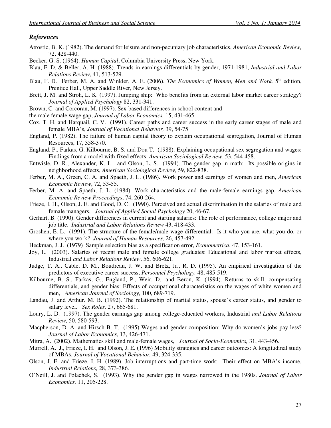#### *References*

- Atrostic, B. K. (1982). The demand for leisure and non-pecuniary job characteristics, *American Economic Review,* 72, 428-440.
- Becker, G. S. (1964). *Human Capital*, Columbia University Press, New York.
- Blau, F. D. & Beller, A. H. (1988). Trends in earnings differentials by gender, 1971-1981, *Industrial and Labor Relations Review*, 41, 513-529.
- Blau, F. D. Ferber, M. A. and Winkler, A. E. (2006). *The Economics of Women, Men and Work*. 5<sup>th</sup> edition. Prentice Hall, Upper Saddle River, New Jersey.
- Brett, J. M. and Stroh, L. K. (1997). Jumping ship: Who benefits from an external labor market career strategy? *Journal of Applied Psychology* 82, 331-341.
- Brown, C. and Corcoran, M. (1997). Sex-based differences in school content and
- the male female wage gap, *Journal of Labor Economics,* 15, 431-465.
- Cox, T. H. and Harquail, C. V. (1991). Career paths and career success in the early career stages of male and female MBA's, *Journal of Vocational Behavior,* 39, 54-75
- England, P. (1982). The failure of human capital theory to explain occupational segregation, Journal of Human Resources, 17, 358-370.
- England, P., Farkas, G. Kilbourne, B. S. and Dou T. (1988). Explaining occupational sex segregation and wages: Findings from a model with fixed effects, *American Sociological Review*, 53, 544-458.
- Entwisle, D. R., Alexander, K. L. and Olson, L. S. (1994). The gender gap in math: Its possible origins in neighborhood effects, *American Sociological Review,* 59, 822-838.
- Ferber, M. A., Green, C. A. and Spaeth, J. L. (1986). Work power and earnings of women and men, *American Economic Review*, 72, 53-55.
- Ferber, M. A. and Spaeth, J. L. (1984). Work characteristics and the male-female earnings gap, *American Economic Review Proceedings*, 74, 260-264.
- Frieze, I. H., Olson, J. E. and Good, D. C. (1990). Perceived and actual discrimination in the salaries of male and female managers, *Journal of Applied Social Psychology* 20, 46-67.
- Gerhart, B. (1990). Gender differences in current and starting salaries: The role of performance, college major and job title. *Industrial and Labor Relations Review* 43, 418-433.
- Groshen, E. L. (1991). The structure of the female/male wage differential: Is it who you are, what you do, or where you work*? Journal of Human Resources,* 26, 457-492.
- Heckman, J. J. (1979) Sample selection bias as a specification error, *Econometrica*, 47, 153-161.
- Joy, L. (2003). Salaries of recent male and female college graduates: Educational and labor market effects, Industrial *and Labor Relations Review*, 56, 606-621.
- Judge, T. A., Cable, D. M., Boudreau, J. W. and Bretz, Jr., R. D. (1995). An empirical investigation of the predictors of executive career success, *Personnel Psychology,* 48, 485-519.
- Kilbourne, B. S., Farkas, G., England, P., Weir, D., and Beron, K. (1994). Returns to skill, compensating differentials, and gender bias: Effects of occupational characteristics on the wages of white women and men, *American Journal of Sociology,* 100, 689-719.
- Landau, J. and Arthur. M. B. (1992). The relationship of marital status, spouse's career status, and gender to salary level*. Sex Roles,* 27, 665-681.
- Loury, L. D. (1997). The gender earnings gap among college-educated workers, Industrial *and Labor Relations Review,* 50, 580-593.
- Macpherson, D. A. and Hirsch B. T. (1995) Wages and gender composition: Why do women's jobs pay less? *Journal of Labor Economics,* 13, 426-471.
- Mitra, A. (2002). Mathematics skill and male-female wages, *Journal of Socio-Economics,* 31, 443-456.
- Murrell, A. J., Frieze, I. H. and Olson, J. E. (1996) Mobility strategies and career outcomes: A longitudinal study of MBAs, *Journal of Vocational Behavior,* 49, 324-335.
- Olson, J. E. and Frieze, I. H. (1989). Job interruptions and part-time work: Their effect on MBA's income, *Industrial Relations,* 28, 373-386.
- O'Neill, J. and Polachek, S. (1993). Why the gender gap in wages narrowed in the 1980s. *Journal of Labor Economics,* 11, 205-228.